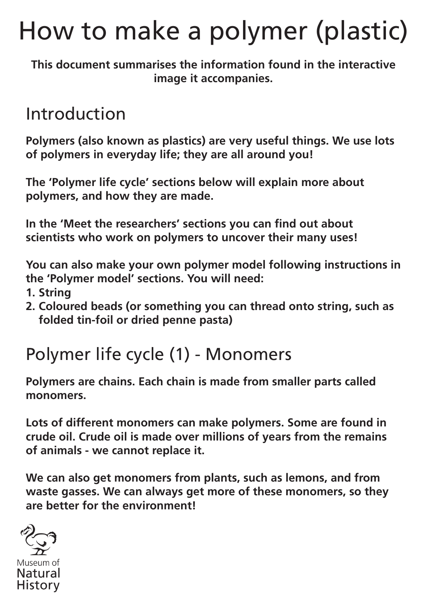# How to make a polymer (plastic)

**This document summarises the information found in the interactive image it accompanies.** 

#### Introduction

**Polymers (also known as plastics) are very useful things. We use lots of polymers in everyday life; they are all around you!**

**The 'Polymer life cycle' sections below will explain more about polymers, and how they are made.**

**In the 'Meet the researchers' sections you can find out about scientists who work on polymers to uncover their many uses!**

**You can also make your own polymer model following instructions in the 'Polymer model' sections. You will need:**

- **1. String**
- **2. Coloured beads (or something you can thread onto string, such as folded tin-foil or dried penne pasta)**

# Polymer life cycle (1) - Monomers

**Polymers are chains. Each chain is made from smaller parts called monomers.**

**Lots of different monomers can make polymers. Some are found in crude oil. Crude oil is made over millions of years from the remains of animals - we cannot replace it.**

**We can also get monomers from plants, such as lemons, and from waste gasses. We can always get more of these monomers, so they are better for the environment!**

Museum of Natural **History**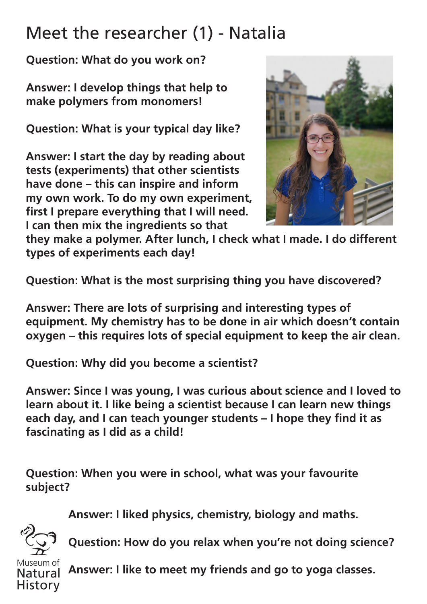# Meet the researcher (1) - Natalia

**Question: What do you work on?**

**Answer: I develop things that help to make polymers from monomers!**

**Question: What is your typical day like?** 

**Answer: I start the day by reading about tests (experiments) that other scientists have done – this can inspire and inform my own work. To do my own experiment, first I prepare everything that I will need. I can then mix the ingredients so that** 



**they make a polymer. After lunch, I check what I made. I do different types of experiments each day!**

**Question: What is the most surprising thing you have discovered?**

**Answer: There are lots of surprising and interesting types of equipment. My chemistry has to be done in air which doesn't contain oxygen – this requires lots of special equipment to keep the air clean.**

**Question: Why did you become a scientist?**

**Answer: Since I was young, I was curious about science and I loved to learn about it. I like being a scientist because I can learn new things each day, and I can teach younger students – I hope they find it as fascinating as I did as a child!**

**Question: When you were in school, what was your favourite subject?**

**Answer: I liked physics, chemistry, biology and maths.**



**Question: How do you relax when you're not doing science?**

Museum of **Natural History** 

**Answer: I like to meet my friends and go to yoga classes.**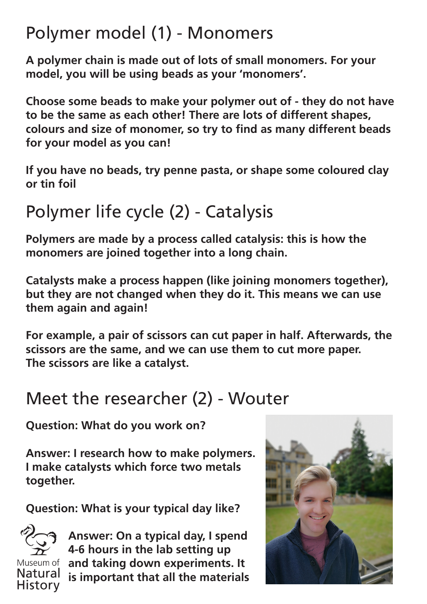#### Polymer model (1) - Monomers

**A polymer chain is made out of lots of small monomers. For your model, you will be using beads as your 'monomers'.** 

**Choose some beads to make your polymer out of - they do not have to be the same as each other! There are lots of different shapes, colours and size of monomer, so try to find as many different beads for your model as you can!**

**If you have no beads, try penne pasta, or shape some coloured clay or tin foil**

# Polymer life cycle (2) - Catalysis

**Polymers are made by a process called catalysis: this is how the monomers are joined together into a long chain.**

**Catalysts make a process happen (like joining monomers together), but they are not changed when they do it. This means we can use them again and again!**

**For example, a pair of scissors can cut paper in half. Afterwards, the scissors are the same, and we can use them to cut more paper. The scissors are like a catalyst.**

#### Meet the researcher (2) - Wouter

**Question: What do you work on?**

**Answer: I research how to make polymer s. I make catalysts which force two metals together.**

**Question: What is your typical day like?**



History

**Answer: On a typical day, I spend 4-6 hours in the lab setting up** Museum of and taking down experiments. It **is important that all the materials**

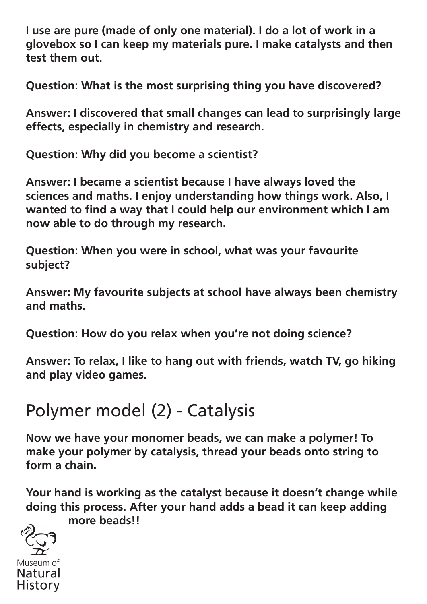**I use are pure (made of only one material). I do a lot of work in a glovebox so I can keep my materials pure. I make catalysts and then test them out.**

**Question: What is the most surprising thing you have discovered?**

**Answer: I discovered that small changes can lead to surprisingly large effects, especially in chemistry and research.**

**Question: Why did you become a scientist?**

**Answer: I became a scientist because I have always loved the sciences and maths. I enjoy understanding how things work. Also, I wanted to find a way that I could help our environment which I am now able to do through my research.**

**Question: When you were in school, what was your favourite subject?**

**Answer: My favourite subjects at school have always been chemistry and maths.**

**Question: How do you relax when you're not doing science?**

**Answer: To relax, I like to hang out with friends, watch TV, go hiking and play video games.**

#### Polymer model (2) - Catalysis

**Now we have your monomer beads, we can make a polymer! To make your polymer by catalysis, thread your beads onto string to form a chain.** 

**Your hand is working as the catalyst because it doesn't change while doing this process. After your hand adds a bead it can keep adding** 



**more beads!!**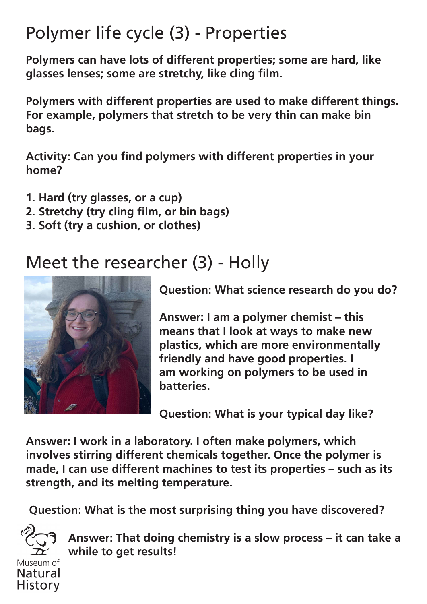# Polymer life cycle (3) - Properties

**Polymers can have lots of different properties; some are hard, like glasses lenses; some are stretchy, like cling film.**

**Polymers with different properties are used to make different things. For example, polymers that stretch to be very thin can make bin bags.**

**Activity: Can you find polymers with different properties in your home?**

- **1. Hard (try glasses, or a cup)**
- **2. Stretchy (try cling film, or bin bags)**
- **3. Soft (try a cushion, or clothes)**

# Meet the researcher (3) - Holly



**Question: What science research do you do?**

**Answer: I am a polymer chemist – this means that I look at ways to make new plastics, which are more environmentally friendly and have good properties. I am working on polymers to be used in batteries.**

**Question: What is your typical day like?**

**Answer: I work in a laboratory. I often make polymers, which involves stirring different chemicals together. Once the polymer is made, I can use different machines to test its properties – such as its strength, and its melting temperature.**

 **Question: What is the most surprising thing you have discovered?**



Natural **History** 

**Answer: That doing chemistry is a slow process – it can take a while to get results!**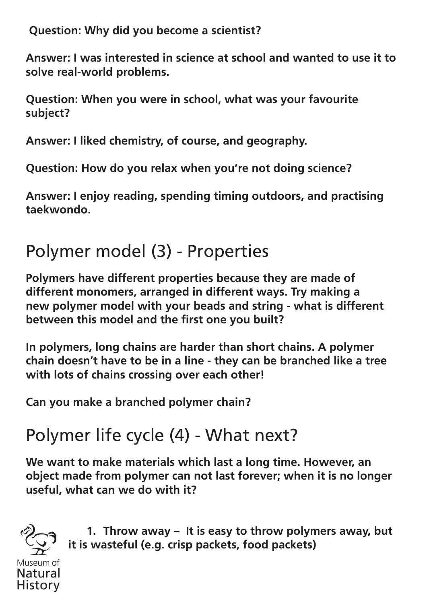**Question: Why did you become a scientist?**

**Answer: I was interested in science at school and wanted to use it to solve real-world problems.**

**Question: When you were in school, what was your favourite subject?**

**Answer: I liked chemistry, of course, and geography.**

**Question: How do you relax when you're not doing science?**

**Answer: I enjoy reading, spending timing outdoors, and practising taekwondo.**

# Polymer model (3) - Properties

**Polymers have different properties because they are made of different monomers, arranged in different ways. Try making a new polymer model with your beads and string - what is different between this model and the first one you built?**

**In polymers, long chains are harder than short chains. A polymer chain doesn't have to be in a line - they can be branched like a tree with lots of chains crossing over each other!**

**Can you make a branched polymer chain?**

# Polymer life cycle (4) - What next?

**We want to make materials which last a long time. However, an object made from polymer can not last forever; when it is no longer useful, what can we do with it?**



Natural **History** 

**1. Throw away – It is easy to throw polymers away, but it is wasteful (e.g. crisp packets, food packets)**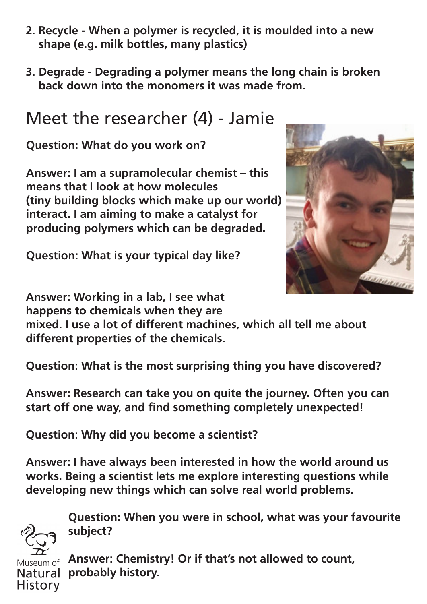- **2. Recycle When a polymer is recycled, it is moulded into a new shape (e.g. milk bottles, many plastics)**
- **3. Degrade Degrading a polymer means the long chain is broken back down into the monomers it was made from.**

#### Meet the researcher (4) - Jamie

**Question: What do you work on?**

**Answer: I am a supramolecular chemist – this means that I look at how molecules (tiny building blocks which make up our world) interact. I am aiming to make a catalyst for producing polymers which can be degraded.**

**Question: What is your typical day like?**

**Answer: Working in a lab, I see what happens to chemicals when they are** 

**mixed. I use a lot of different machines, which all tell me about different properties of the chemicals.**

**Question: What is the most surprising thing you have discovered?**

**Answer: Research can take you on quite the journey. Often you can start off one way, and find something completely unexpected!**

**Question: Why did you become a scientist?**

**Answer: I have always been interested in how the world around us works. Being a scientist lets me explore interesting questions while developing new things which can solve real world problems.**



**Question: When you were in school, what was your favourite subject?**

**Answer: Chemistry! Or if that's not allowed to count,**  Museum of **probably history.**Natural **History**